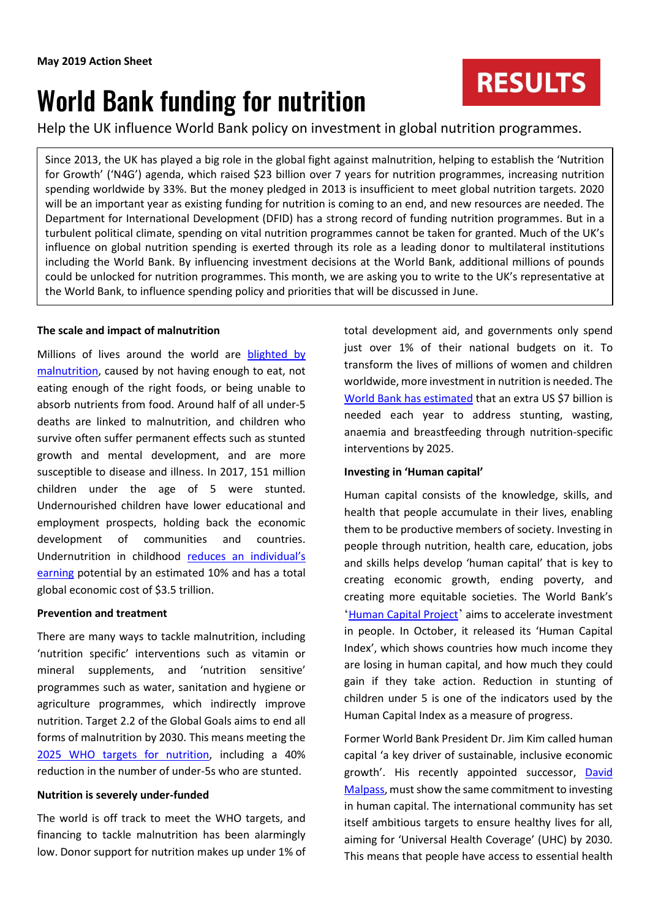# World Bank funding for nutrition

**RESULTS** 

Help the UK influence World Bank policy on investment in global nutrition programmes.

Since 2013, the UK has played a big role in the global fight against malnutrition, helping to establish the 'Nutrition for Growth' ('N4G') agenda, which raised \$23 billion over 7 years for nutrition programmes, increasing nutrition spending worldwide by 33%. But the money pledged in 2013 is insufficient to meet global nutrition targets. 2020 will be an important year as existing funding for nutrition is coming to an end, and new resources are needed. The Department for International Development (DFID) has a strong record of funding nutrition programmes. But in a turbulent political climate, spending on vital nutrition programmes cannot be taken for granted. Much of the UK's influence on global nutrition spending is exerted through its role as a leading donor to multilateral institutions including the World Bank. By influencing investment decisions at the World Bank, additional millions of pounds could be unlocked for nutrition programmes. This month, we are asking you to write to the UK's representative at the World Bank, to influence spending policy and priorities that will be discussed in June.

### **The scale and impact of malnutrition**

Millions of lives around the world are [blighted by](http://www.who.int/nutgrowthdb/2018-jme-brochure.pdf?ua=1)  [malnutrition,](http://www.who.int/nutgrowthdb/2018-jme-brochure.pdf?ua=1) caused by not having enough to eat, not eating enough of the right foods, or being unable to absorb nutrients from food. Around half of all under-5 deaths are linked to malnutrition, and children who survive often suffer permanent effects such as stunted growth and mental development, and are more susceptible to disease and illness. In 2017, 151 million children under the age of 5 were stunted. Undernourished children have lower educational and employment prospects, holding back the economic development of communities and countries. Undernutrition in childhood [reduces an individual's](http://glopan.org/sites/default/files/pictures/CostOfMalnutrition.pdf)  [earning](http://glopan.org/sites/default/files/pictures/CostOfMalnutrition.pdf) potential by an estimated 10% and has a total global economic cost of \$3.5 trillion.

### **Prevention and treatment**

There are many ways to tackle malnutrition, including 'nutrition specific' interventions such as vitamin or mineral supplements, and 'nutrition sensitive' programmes such as water, sanitation and hygiene or agriculture programmes, which indirectly improve nutrition. Target 2.2 of the Global Goals aims to end all forms of malnutrition by 2030. This means meeting the [2025 WHO targets for nutrition,](http://www.who.int/nutrition/global-target-2025/en/) including a 40% reduction in the number of under-5s who are stunted.

### **Nutrition is severely under-funded**

The world is off track to meet the WHO targets, and financing to tackle malnutrition has been alarmingly low. Donor support for nutrition makes up under 1% of

total development aid, and governments only spend just over 1% of their national budgets on it. To transform the lives of millions of women and children worldwide, more investment in nutrition is needed. The [World Bank has estimated](https://openknowledge.worldbank.org/handle/10986/26069) that an extra US \$7 billion is needed each year to address stunting, wasting, anaemia and breastfeeding through nutrition-specific interventions by 2025.

### **Investing in 'Human capital'**

Human capital consists of the knowledge, skills, and health that people accumulate in their lives, enabling them to be productive members of society. Investing in people through nutrition, health care, education, jobs and skills helps develop 'human capital' that is key to creating economic growth, ending poverty, and creating more equitable societies. The World Bank's '[Human Capital Project](http://www.worldbank.org/en/publication/human-capital)' aims to accelerate investment in people. In October, it released its 'Human Capital Index', which shows countries how much income they are losing in human capital, and how much they could gain if they take action. Reduction in stunting of children under 5 is one of the indicators used by the Human Capital Index as a measure of progress.

Former World Bank President Dr. Jim Kim called human capital 'a key driver of sustainable, inclusive economic growth'. His recently appointed successor, David [Malpass,](https://www.worldbank.org/en/about/people/d/david-malpass) must show the same commitment to investing in human capital. The international community has set itself ambitious targets to ensure healthy lives for all, aiming for 'Universal Health Coverage' (UHC) by 2030. This means that people have access to essential health